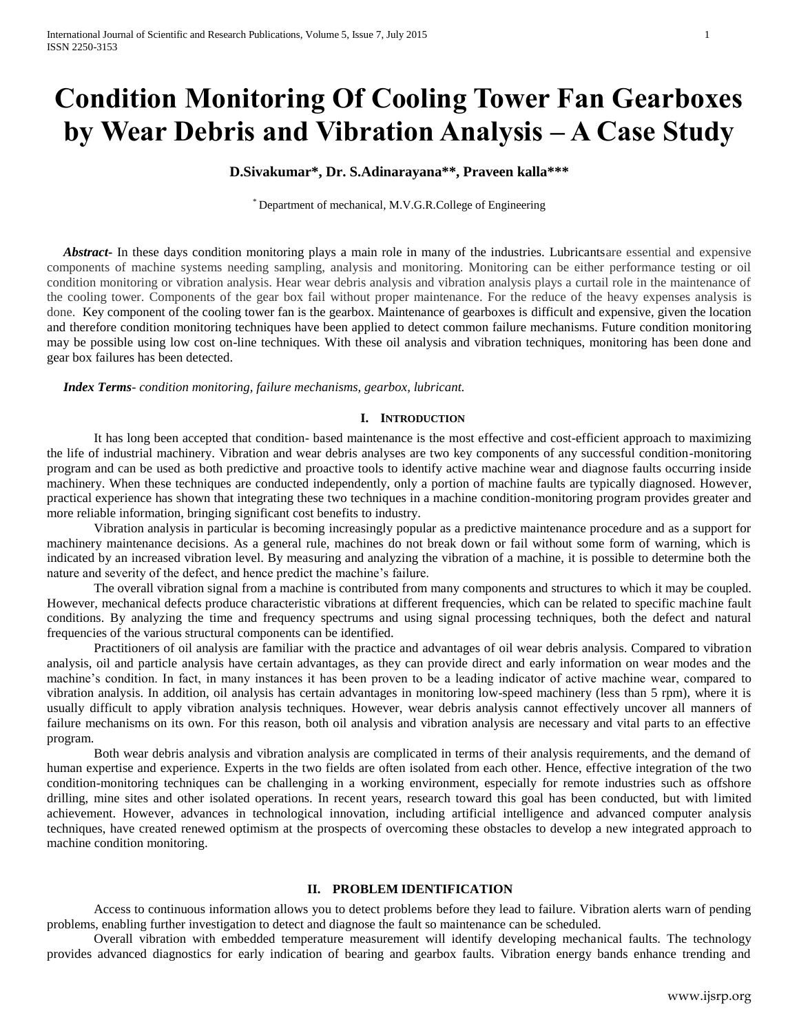# **Condition Monitoring Of Cooling Tower Fan Gearboxes by Wear Debris and Vibration Analysis – A Case Study**

## **D.Sivakumar\*, Dr. S.Adinarayana\*\*, Praveen kalla\*\*\***

\* Department of mechanical, M.V.G.R.College of Engineering

 *Abstract***-** In these days condition monitoring plays a main role in many of the industries. Lubricantsare essential and expensive components of machine systems needing sampling, analysis and monitoring. Monitoring can be either performance testing or oil condition monitoring or vibration analysis. Hear wear debris analysis and vibration analysis plays a curtail role in the maintenance of the cooling tower. Components of the gear box fail without proper maintenance. For the reduce of the heavy expenses analysis is done. Key component of the cooling tower fan is the gearbox. Maintenance of gearboxes is difficult and expensive, given the location and therefore condition monitoring techniques have been applied to detect common failure mechanisms. Future condition monitoring may be possible using low cost on-line techniques. With these oil analysis and vibration techniques, monitoring has been done and gear box failures has been detected.

 *Index Terms*- *condition monitoring, failure mechanisms, gearbox, lubricant.*

## **I. INTRODUCTION**

It has long been accepted that condition- based maintenance is the most effective and cost-efficient approach to maximizing the life of industrial machinery. Vibration and wear debris analyses are two key components of any successful condition-monitoring program and can be used as both predictive and proactive tools to identify active machine wear and diagnose faults occurring inside machinery. When these techniques are conducted independently, only a portion of machine faults are typically diagnosed. However, practical experience has shown that integrating these two techniques in a machine condition-monitoring program provides greater and more reliable information, bringing significant cost benefits to industry.

Vibration analysis in particular is becoming increasingly popular as a predictive maintenance procedure and as a support for machinery maintenance decisions. As a general rule, machines do not break down or fail without some form of warning, which is indicated by an increased vibration level. By measuring and analyzing the vibration of a machine, it is possible to determine both the nature and severity of the defect, and hence predict the machine's failure.

The overall vibration signal from a machine is contributed from many components and structures to which it may be coupled. However, mechanical defects produce characteristic vibrations at different frequencies, which can be related to specific machine fault conditions. By analyzing the time and frequency spectrums and using signal processing techniques, both the defect and natural frequencies of the various structural components can be identified.

Practitioners of oil analysis are familiar with the practice and advantages of oil wear debris analysis. Compared to vibration analysis, oil and particle analysis have certain advantages, as they can provide direct and early information on wear modes and the machine's condition. In fact, in many instances it has been proven to be a leading indicator of active machine wear, compared to vibration analysis. In addition, oil analysis has certain advantages in monitoring low-speed machinery (less than 5 rpm), where it is usually difficult to apply vibration analysis techniques. However, wear debris analysis cannot effectively uncover all manners of failure mechanisms on its own. For this reason, both oil analysis and vibration analysis are necessary and vital parts to an effective program.

Both wear debris analysis and vibration analysis are complicated in terms of their analysis requirements, and the demand of human expertise and experience. Experts in the two fields are often isolated from each other. Hence, effective integration of the two condition-monitoring techniques can be challenging in a working environment, especially for remote industries such as offshore drilling, mine sites and other isolated operations. In recent years, research toward this goal has been conducted, but with limited achievement. However, advances in technological innovation, including artificial intelligence and advanced computer analysis techniques, have created renewed optimism at the prospects of overcoming these obstacles to develop a new integrated approach to machine condition monitoring.

## **II. PROBLEM IDENTIFICATION**

Access to continuous information allows you to detect problems before they lead to failure. Vibration alerts warn of pending problems, enabling further investigation to detect and diagnose the fault so maintenance can be scheduled.

Overall vibration with embedded temperature measurement will identify developing mechanical faults. The technology provides advanced diagnostics for early indication of bearing and gearbox faults. Vibration energy bands enhance trending and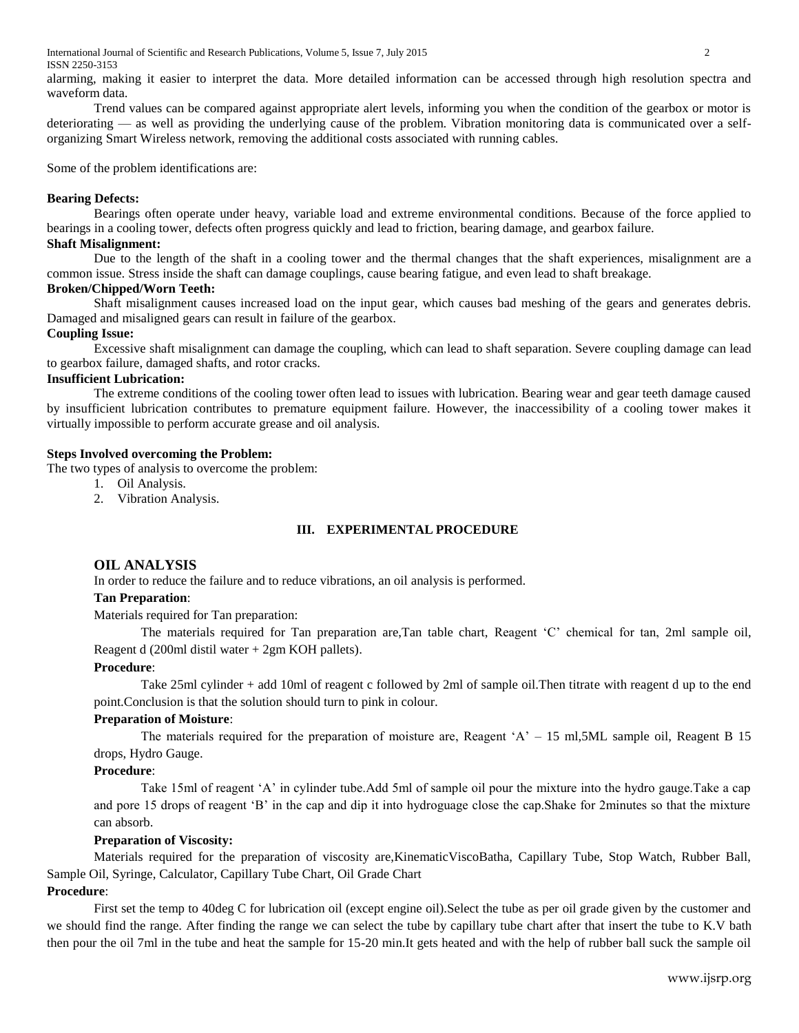International Journal of Scientific and Research Publications, Volume 5, Issue 7, July 2015 2 ISSN 2250-3153

alarming, making it easier to interpret the data. More detailed information can be accessed through high resolution spectra and waveform data.

Trend values can be compared against appropriate alert levels, informing you when the condition of the gearbox or motor is deteriorating — as well as providing the underlying cause of the problem. Vibration monitoring data is communicated over a selforganizing Smart Wireless network, removing the additional costs associated with running cables.

Some of the problem identifications are:

#### **Bearing Defects:**

Bearings often operate under heavy, variable load and extreme environmental conditions. Because of the force applied to bearings in a cooling tower, defects often progress quickly and lead to friction, bearing damage, and gearbox failure.

## **Shaft Misalignment:**

Due to the length of the shaft in a cooling tower and the thermal changes that the shaft experiences, misalignment are a common issue. Stress inside the shaft can damage couplings, cause bearing fatigue, and even lead to shaft breakage.

### **Broken/Chipped/Worn Teeth:**

Shaft misalignment causes increased load on the input gear, which causes bad meshing of the gears and generates debris. Damaged and misaligned gears can result in failure of the gearbox.

#### **Coupling Issue:**

Excessive shaft misalignment can damage the coupling, which can lead to shaft separation. Severe coupling damage can lead to gearbox failure, damaged shafts, and rotor cracks.

#### **Insufficient Lubrication:**

The extreme conditions of the cooling tower often lead to issues with lubrication. Bearing wear and gear teeth damage caused by insufficient lubrication contributes to premature equipment failure. However, the inaccessibility of a cooling tower makes it virtually impossible to perform accurate grease and oil analysis.

#### **Steps Involved overcoming the Problem:**

The two types of analysis to overcome the problem:

- 1. Oil Analysis.
- 2. Vibration Analysis.

#### **III. EXPERIMENTAL PROCEDURE**

#### **OIL ANALYSIS**

In order to reduce the failure and to reduce vibrations, an oil analysis is performed.

## **Tan Preparation**:

Materials required for Tan preparation:

The materials required for Tan preparation are,Tan table chart, Reagent 'C' chemical for tan, 2ml sample oil, Reagent d (200ml distil water + 2gm KOH pallets).

## **Procedure**:

Take 25ml cylinder + add 10ml of reagent c followed by 2ml of sample oil.Then titrate with reagent d up to the end point.Conclusion is that the solution should turn to pink in colour.

#### **Preparation of Moisture**:

The materials required for the preparation of moisture are, Reagent 'A' – 15 ml,5ML sample oil, Reagent B 15 drops, Hydro Gauge.

#### **Procedure**:

Take 15ml of reagent 'A' in cylinder tube.Add 5ml of sample oil pour the mixture into the hydro gauge.Take a cap and pore 15 drops of reagent 'B' in the cap and dip it into hydroguage close the cap.Shake for 2minutes so that the mixture can absorb.

## **Preparation of Viscosity:**

Materials required for the preparation of viscosity are,KinematicViscoBatha, Capillary Tube, Stop Watch, Rubber Ball, Sample Oil, Syringe, Calculator, Capillary Tube Chart, Oil Grade Chart

## **Procedure**:

First set the temp to 40deg C for lubrication oil (except engine oil).Select the tube as per oil grade given by the customer and we should find the range. After finding the range we can select the tube by capillary tube chart after that insert the tube to K.V bath then pour the oil 7ml in the tube and heat the sample for 15-20 min.It gets heated and with the help of rubber ball suck the sample oil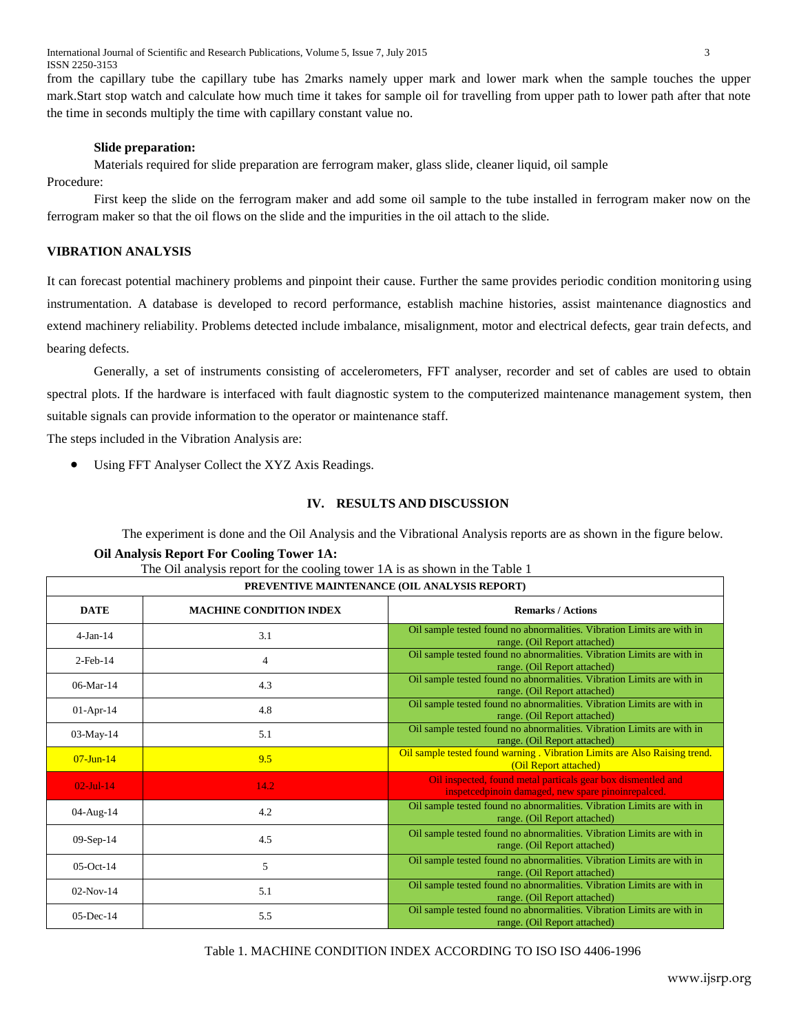International Journal of Scientific and Research Publications, Volume 5, Issue 7, July 2015 3 ISSN 2250-3153

from the capillary tube the capillary tube has 2marks namely upper mark and lower mark when the sample touches the upper mark.Start stop watch and calculate how much time it takes for sample oil for travelling from upper path to lower path after that note the time in seconds multiply the time with capillary constant value no.

#### **Slide preparation:**

Materials required for slide preparation are ferrogram maker, glass slide, cleaner liquid, oil sample

Procedure:

First keep the slide on the ferrogram maker and add some oil sample to the tube installed in ferrogram maker now on the ferrogram maker so that the oil flows on the slide and the impurities in the oil attach to the slide.

## **VIBRATION ANALYSIS**

It can forecast potential machinery problems and pinpoint their cause. Further the same provides periodic condition monitoring using instrumentation. A database is developed to record performance, establish machine histories, assist maintenance diagnostics and extend machinery reliability. Problems detected include imbalance, misalignment, motor and electrical defects, gear train defects, and bearing defects.

Generally, a set of instruments consisting of accelerometers, FFT analyser, recorder and set of cables are used to obtain spectral plots. If the hardware is interfaced with fault diagnostic system to the computerized maintenance management system, then suitable signals can provide information to the operator or maintenance staff.

The steps included in the Vibration Analysis are:

Using FFT Analyser Collect the XYZ Axis Readings.

#### **IV. RESULTS AND DISCUSSION**

The experiment is done and the Oil Analysis and the Vibrational Analysis reports are as shown in the figure below.

#### **Oil Analysis Report For Cooling Tower 1A:**

| PREVENTIVE MAINTENANCE (OIL ANALYSIS REPORT) |                                |                                                                                                                    |  |  |
|----------------------------------------------|--------------------------------|--------------------------------------------------------------------------------------------------------------------|--|--|
| <b>DATE</b>                                  | <b>MACHINE CONDITION INDEX</b> | <b>Remarks / Actions</b>                                                                                           |  |  |
| $4-Jan-14$                                   | 3.1                            | Oil sample tested found no abnormalities. Vibration Limits are with in<br>range. (Oil Report attached)             |  |  |
| $2$ -Feb-14                                  | 4                              | Oil sample tested found no abnormalities. Vibration Limits are with in<br>range. (Oil Report attached)             |  |  |
| $06$ -Mar-14                                 | 4.3                            | Oil sample tested found no abnormalities. Vibration Limits are with in<br>range. (Oil Report attached)             |  |  |
| $01-Apr-14$                                  | 4.8                            | Oil sample tested found no abnormalities. Vibration Limits are with in<br>range. (Oil Report attached)             |  |  |
| 03-May-14                                    | 5.1                            | Oil sample tested found no abnormalities. Vibration Limits are with in<br>range. (Oil Report attached)             |  |  |
| $07$ -Jun-14                                 | 9.5                            | Oil sample tested found warning . Vibration Limits are Also Raising trend.<br>(Oil Report attached)                |  |  |
| $02$ -Jul-14                                 | 14.2                           | Oil inspected, found metal particals gear box dismentled and<br>inspetcedpinoin damaged, new spare pinoinrepalced. |  |  |
| 04-Aug-14                                    | 4.2                            | Oil sample tested found no abnormalities. Vibration Limits are with in<br>range. (Oil Report attached)             |  |  |
| $09-Sep-14$                                  | 4.5                            | Oil sample tested found no abnormalities. Vibration Limits are with in<br>range. (Oil Report attached)             |  |  |
| $05$ -Oct-14                                 | 5                              | Oil sample tested found no abnormalities. Vibration Limits are with in<br>range. (Oil Report attached)             |  |  |
| $02-Nov-14$                                  | 5.1                            | Oil sample tested found no abnormalities. Vibration Limits are with in<br>range. (Oil Report attached)             |  |  |
| $05$ -Dec-14                                 | 5.5                            | Oil sample tested found no abnormalities. Vibration Limits are with in<br>range. (Oil Report attached)             |  |  |

Table 1. MACHINE CONDITION INDEX ACCORDING TO ISO ISO 4406-1996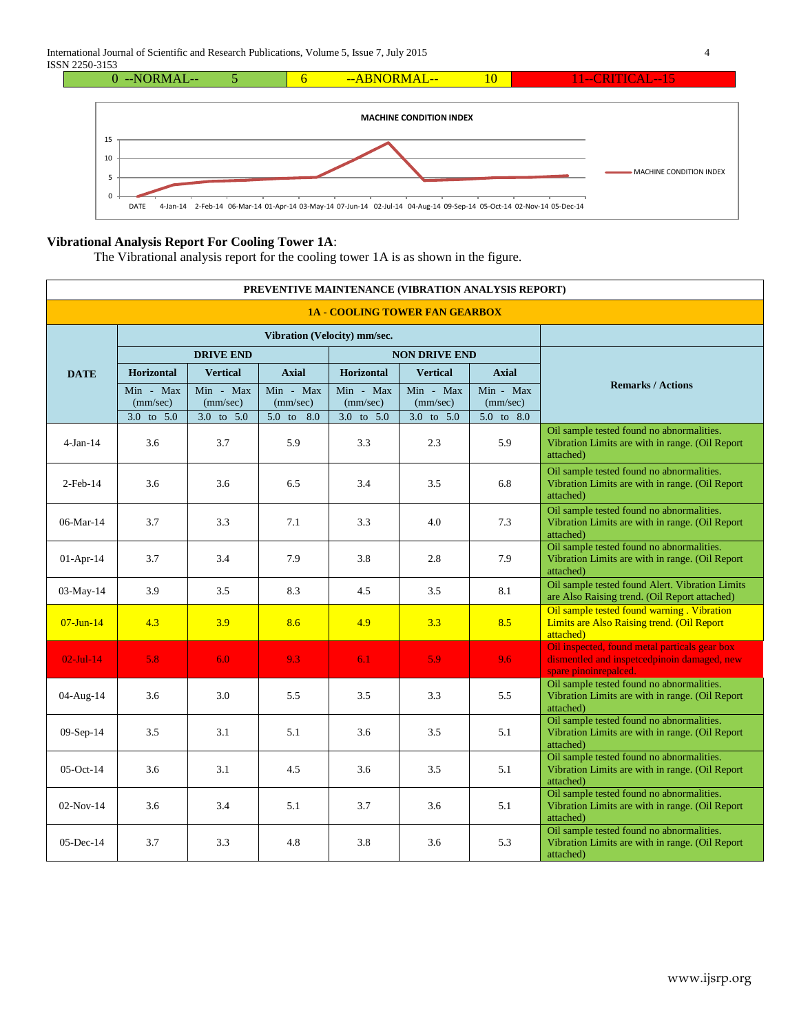

## **Vibrational Analysis Report For Cooling Tower 1A**:

The Vibrational analysis report for the cooling tower 1A is as shown in the figure.

| PREVENTIVE MAINTENANCE (VIBRATION ANALYSIS REPORT) |                       |                       |                       |                              |                       |                       |                                                                                                                       |  |
|----------------------------------------------------|-----------------------|-----------------------|-----------------------|------------------------------|-----------------------|-----------------------|-----------------------------------------------------------------------------------------------------------------------|--|
| <b>1A - COOLING TOWER FAN GEARBOX</b>              |                       |                       |                       |                              |                       |                       |                                                                                                                       |  |
|                                                    |                       |                       |                       | Vibration (Velocity) mm/sec. |                       |                       |                                                                                                                       |  |
| <b>DATE</b>                                        | <b>DRIVE END</b>      |                       |                       | <b>NON DRIVE END</b>         |                       |                       |                                                                                                                       |  |
|                                                    | <b>Horizontal</b>     | <b>Vertical</b>       | <b>Axial</b>          | <b>Horizontal</b>            | <b>Vertical</b>       | <b>Axial</b>          |                                                                                                                       |  |
|                                                    | Min - Max<br>(mm/sec) | Min - Max<br>(mm/sec) | Min - Max<br>(mm/sec) | Min - Max<br>(mm/sec)        | Min - Max<br>(mm/sec) | Min - Max<br>(mm/sec) | <b>Remarks / Actions</b>                                                                                              |  |
|                                                    | $3.0$ to $5.0$        | 3.0 to 5.0            | 5.0 to 8.0            | $3.0$ to $5.0$               | $3.0$ to $5.0$        | $5.0$ to $8.0$        |                                                                                                                       |  |
| $4-Jan-14$                                         | 3.6                   | 3.7                   | 5.9                   | 3.3                          | 2.3                   | 5.9                   | Oil sample tested found no abnormalities.<br>Vibration Limits are with in range. (Oil Report<br>attached)             |  |
| $2$ -Feb-14                                        | 3.6                   | 3.6                   | 6.5                   | 3.4                          | 3.5                   | 6.8                   | Oil sample tested found no abnormalities.<br>Vibration Limits are with in range. (Oil Report<br>attached)             |  |
| $06-Mar-14$                                        | 3.7                   | 3.3                   | 7.1                   | 3.3                          | 4.0                   | 7.3                   | Oil sample tested found no abnormalities.<br>Vibration Limits are with in range. (Oil Report<br>attached)             |  |
| $01-Apr-14$                                        | 3.7                   | 3.4                   | 7.9                   | 3.8                          | 2.8                   | 7.9                   | Oil sample tested found no abnormalities.<br>Vibration Limits are with in range. (Oil Report<br>attached)             |  |
| 03-May-14                                          | 3.9                   | 3.5                   | 8.3                   | 4.5                          | 3.5                   | 8.1                   | Oil sample tested found Alert. Vibration Limits<br>are Also Raising trend. (Oil Report attached)                      |  |
| $07$ -Jun-14                                       | 4.3                   | 3.9                   | 8.6                   | 4.9                          | 3.3                   | 8.5                   | Oil sample tested found warning. Vibration<br>Limits are Also Raising trend. (Oil Report<br>attached)                 |  |
| $02$ -Jul-14                                       | 5.8                   | 6.0                   | 9.3                   | 6.1                          | 5.9                   | 9.6                   | Oil inspected, found metal particals gear box<br>dismentled and inspetcedpinoin damaged, new<br>spare pinoinrepalced. |  |
| 04-Aug-14                                          | 3.6                   | 3.0                   | 5.5                   | 3.5                          | 3.3                   | 5.5                   | Oil sample tested found no abnormalities.<br>Vibration Limits are with in range. (Oil Report<br>attached)             |  |
| $09-Sep-14$                                        | 3.5                   | 3.1                   | 5.1                   | 3.6                          | 3.5                   | 5.1                   | Oil sample tested found no abnormalities.<br>Vibration Limits are with in range. (Oil Report<br>attached)             |  |
| $05-Oct-14$                                        | 3.6                   | 3.1                   | 4.5                   | 3.6                          | 3.5                   | 5.1                   | Oil sample tested found no abnormalities.<br>Vibration Limits are with in range. (Oil Report<br>attached)             |  |
| $02-Nov-14$                                        | 3.6                   | 3.4                   | 5.1                   | 3.7                          | 3.6                   | 5.1                   | Oil sample tested found no abnormalities.<br>Vibration Limits are with in range. (Oil Report<br>attached)             |  |
| $05$ -Dec-14                                       | 3.7                   | 3.3                   | 4.8                   | 3.8                          | 3.6                   | 5.3                   | Oil sample tested found no abnormalities.<br>Vibration Limits are with in range. (Oil Report<br>attached)             |  |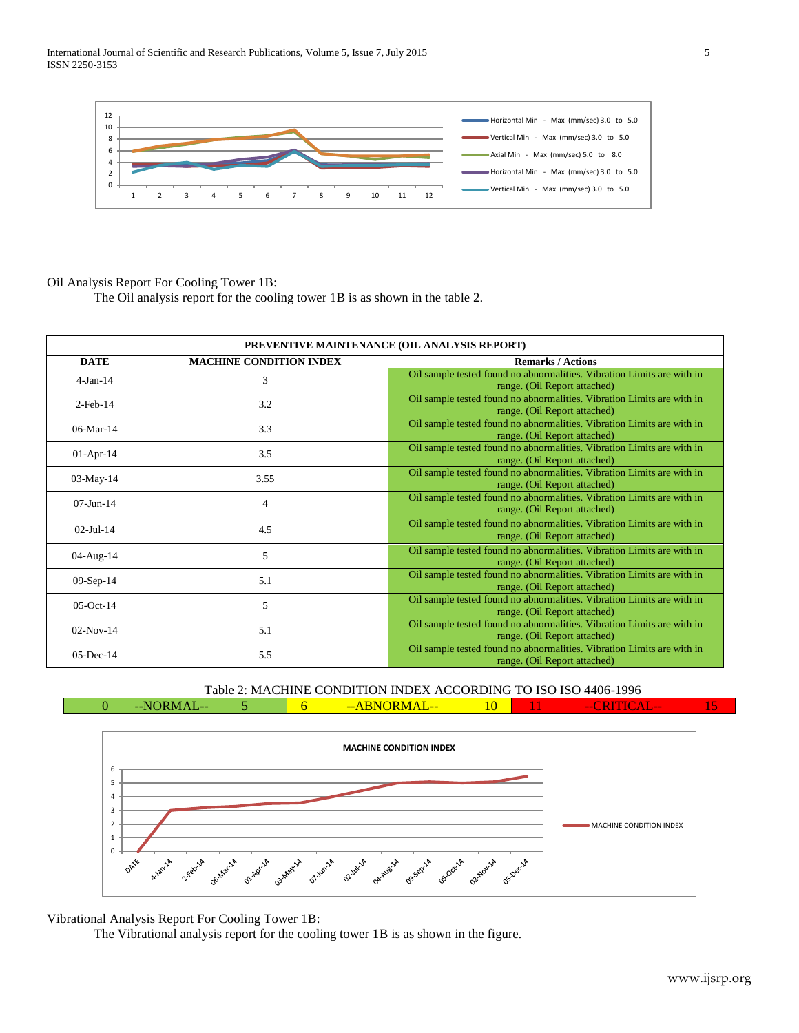International Journal of Scientific and Research Publications, Volume 5, Issue 7, July 2015 5 ISSN 2250-3153



## Oil Analysis Report For Cooling Tower 1B:

The Oil analysis report for the cooling tower 1B is as shown in the table 2.

| PREVENTIVE MAINTENANCE (OIL ANALYSIS REPORT) |                                |                                                                                                        |  |  |
|----------------------------------------------|--------------------------------|--------------------------------------------------------------------------------------------------------|--|--|
| <b>DATE</b>                                  | <b>MACHINE CONDITION INDEX</b> | <b>Remarks / Actions</b>                                                                               |  |  |
| $4-Jan-14$                                   | 3                              | Oil sample tested found no abnormalities. Vibration Limits are with in<br>range. (Oil Report attached) |  |  |
| $2$ -Feb-14                                  | 3.2                            | Oil sample tested found no abnormalities. Vibration Limits are with in<br>range. (Oil Report attached) |  |  |
| $06$ -Mar-14                                 | 3.3                            | Oil sample tested found no abnormalities. Vibration Limits are with in<br>range. (Oil Report attached) |  |  |
| $01-Apr-14$                                  | 3.5                            | Oil sample tested found no abnormalities. Vibration Limits are with in<br>range. (Oil Report attached) |  |  |
| 03-May-14                                    | 3.55                           | Oil sample tested found no abnormalities. Vibration Limits are with in<br>range. (Oil Report attached) |  |  |
| $07 - Jun - 14$                              | $\overline{4}$                 | Oil sample tested found no abnormalities. Vibration Limits are with in<br>range. (Oil Report attached) |  |  |
| $02$ -Jul-14                                 | 4.5                            | Oil sample tested found no abnormalities. Vibration Limits are with in<br>range. (Oil Report attached) |  |  |
| 04-Aug-14                                    | 5                              | Oil sample tested found no abnormalities. Vibration Limits are with in<br>range. (Oil Report attached) |  |  |
| $09-Sep-14$                                  | 5.1                            | Oil sample tested found no abnormalities. Vibration Limits are with in<br>range. (Oil Report attached) |  |  |
| $05$ -Oct-14                                 | 5                              | Oil sample tested found no abnormalities. Vibration Limits are with in<br>range. (Oil Report attached) |  |  |
| $02-Nov-14$                                  | 5.1                            | Oil sample tested found no abnormalities. Vibration Limits are with in<br>range. (Oil Report attached) |  |  |
| 05-Dec-14                                    | 5.5                            | Oil sample tested found no abnormalities. Vibration Limits are with in<br>range. (Oil Report attached) |  |  |

Table 2: MACHINE CONDITION INDEX ACCORDING TO ISO ISO 4406-1996  $0$  --NORMAL-- 5 6 --ABNORMAL-- 10



Vibrational Analysis Report For Cooling Tower 1B:

The Vibrational analysis report for the cooling tower 1B is as shown in the figure.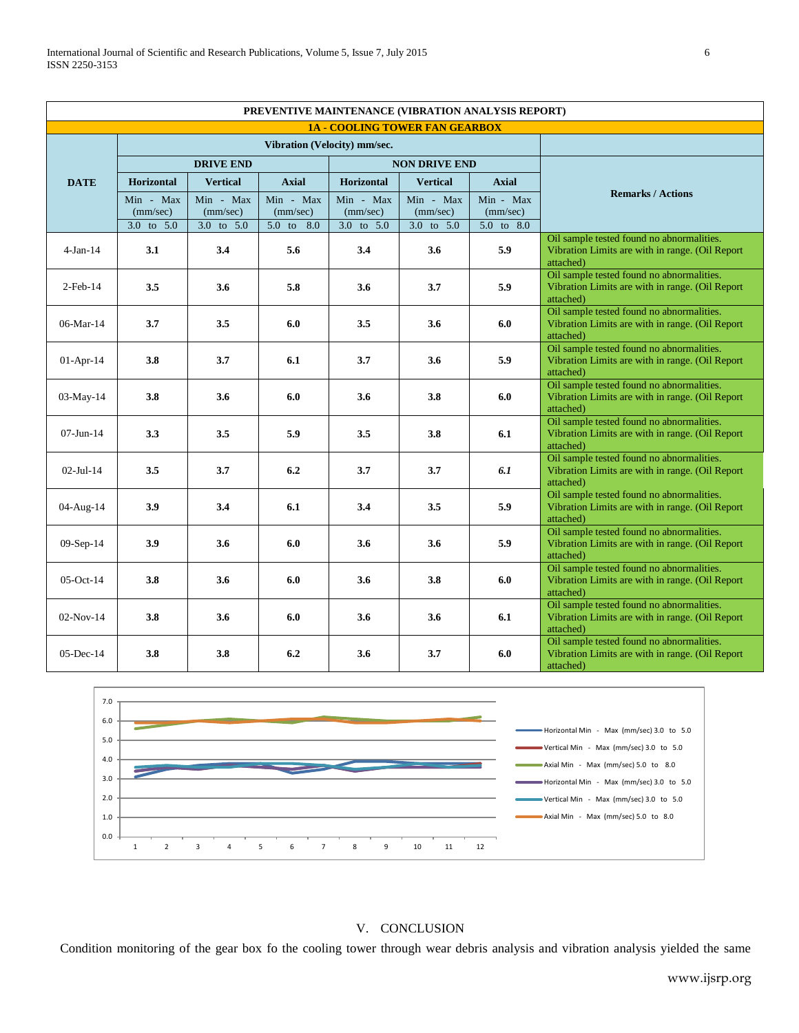| PREVENTIVE MAINTENANCE (VIBRATION ANALYSIS REPORT) |                       |                       |                       |                       |                       |                       |                                                                                                           |
|----------------------------------------------------|-----------------------|-----------------------|-----------------------|-----------------------|-----------------------|-----------------------|-----------------------------------------------------------------------------------------------------------|
| <b>1A - COOLING TOWER FAN GEARBOX</b>              |                       |                       |                       |                       |                       |                       |                                                                                                           |
| Vibration (Velocity) mm/sec.                       |                       |                       |                       |                       |                       |                       |                                                                                                           |
|                                                    | <b>DRIVE END</b>      |                       |                       | <b>NON DRIVE END</b>  |                       |                       |                                                                                                           |
| <b>DATE</b>                                        | <b>Horizontal</b>     | <b>Vertical</b>       | <b>Axial</b>          | <b>Horizontal</b>     | <b>Vertical</b>       | <b>Axial</b>          |                                                                                                           |
|                                                    | Min - Max<br>(mm/sec) | Min - Max<br>(mm/sec) | Min - Max<br>(mm/sec) | Min - Max<br>(mm/sec) | Min - Max<br>(mm/sec) | Min - Max<br>(mm/sec) | <b>Remarks / Actions</b>                                                                                  |
|                                                    | 3.0 to 5.0            | 3.0 to 5.0            | 5.0 to 8.0            | 3.0 to 5.0            | 3.0 to 5.0            | 5.0 to 8.0            |                                                                                                           |
| $4-Jan-14$                                         | 3.1                   | 3.4                   | 5.6                   | 3.4                   | 3.6                   | 5.9                   | Oil sample tested found no abnormalities.<br>Vibration Limits are with in range. (Oil Report<br>attached) |
| $2$ -Feb-14                                        | 3.5                   | 3.6                   | 5.8                   | 3.6                   | 3.7                   | 5.9                   | Oil sample tested found no abnormalities.<br>Vibration Limits are with in range. (Oil Report<br>attached) |
| 06-Mar-14                                          | 3.7                   | 3.5                   | 6.0                   | 3.5                   | 3.6                   | 6.0                   | Oil sample tested found no abnormalities.<br>Vibration Limits are with in range. (Oil Report<br>attached) |
| $01-Apr-14$                                        | 3.8                   | 3.7                   | 6.1                   | 3.7                   | 3.6                   | 5.9                   | Oil sample tested found no abnormalities.<br>Vibration Limits are with in range. (Oil Report<br>attached) |
| $03-May-14$                                        | 3.8                   | 3.6                   | 6.0                   | 3.6                   | 3.8                   | 6.0                   | Oil sample tested found no abnormalities.<br>Vibration Limits are with in range. (Oil Report<br>attached) |
| $07 - Jun - 14$                                    | 3.3                   | 3.5                   | 5.9                   | 3.5                   | 3.8                   | 6.1                   | Oil sample tested found no abnormalities.<br>Vibration Limits are with in range. (Oil Report<br>attached) |
| $02 -$ Jul-14                                      | 3.5                   | 3.7                   | 6.2                   | 3.7                   | 3.7                   | 6.1                   | Oil sample tested found no abnormalities.<br>Vibration Limits are with in range. (Oil Report<br>attached) |
| 04-Aug-14                                          | 3.9                   | 3.4                   | 6.1                   | 3.4                   | 3.5                   | 5.9                   | Oil sample tested found no abnormalities.<br>Vibration Limits are with in range. (Oil Report<br>attached) |
| $09-Sep-14$                                        | 3.9                   | 3.6                   | 6.0                   | 3.6                   | 3.6                   | 5.9                   | Oil sample tested found no abnormalities.<br>Vibration Limits are with in range. (Oil Report<br>attached) |
| $05$ -Oct-14                                       | 3.8                   | 3.6                   | 6.0                   | 3.6                   | 3.8                   | 6.0                   | Oil sample tested found no abnormalities.<br>Vibration Limits are with in range. (Oil Report<br>attached) |
| $02-Nov-14$                                        | 3.8                   | 3.6                   | 6.0                   | 3.6                   | 3.6                   | 6.1                   | Oil sample tested found no abnormalities.<br>Vibration Limits are with in range. (Oil Report<br>attached) |
| $0.5 - Dec-14$                                     | 3.8                   | 3.8                   | 6.2                   | 3.6                   | 3.7                   | 6.0                   | Oil sample tested found no abnormalities.<br>Vibration Limits are with in range. (Oil Report<br>attached) |



## V. CONCLUSION

Condition monitoring of the gear box fo the cooling tower through wear debris analysis and vibration analysis yielded the same